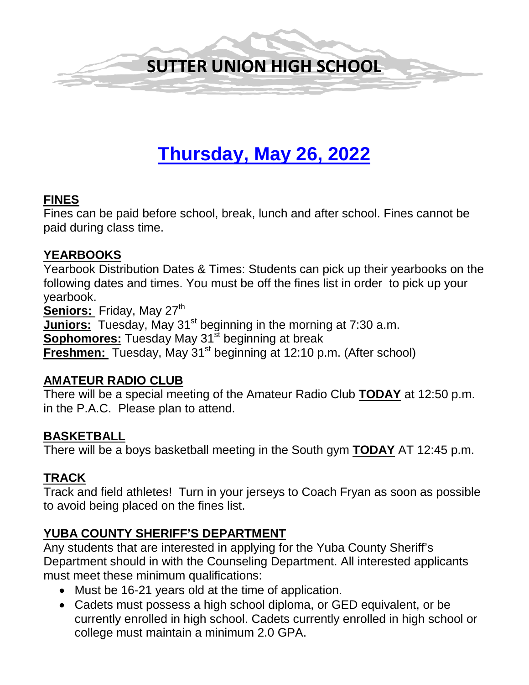

# **Thursday, May 26, 2022**

#### **FINES**

Fines can be paid before school, break, lunch and after school. Fines cannot be paid during class time.

#### **YEARBOOKS**

Yearbook Distribution Dates & Times: Students can pick up their yearbooks on the following dates and times. You must be off the fines list in order to pick up your yearbook.

Seniors: Friday, May 27<sup>th</sup> **Juniors:** Tuesday, May 31<sup>st</sup> beginning in the morning at 7:30 a.m. **Sophomores:** Tuesday May 31<sup>st</sup> beginning at break **Freshmen:** Tuesday, May 31<sup>st</sup> beginning at 12:10 p.m. (After school)

#### **AMATEUR RADIO CLUB**

There will be a special meeting of the Amateur Radio Club **TODAY** at 12:50 p.m. in the P.A.C. Please plan to attend.

#### **BASKETBALL**

There will be a boys basketball meeting in the South gym **TODAY** AT 12:45 p.m.

## **TRACK**

Track and field athletes! Turn in your jerseys to Coach Fryan as soon as possible to avoid being placed on the fines list.

#### **YUBA COUNTY SHERIFF'S DEPARTMENT**

Any students that are interested in applying for the Yuba County Sheriff's Department should in with the Counseling Department. All interested applicants must meet these minimum qualifications:

- Must be 16-21 years old at the time of application.
- Cadets must possess a high school diploma, or GED equivalent, or be currently enrolled in high school. Cadets currently enrolled in high school or college must maintain a minimum 2.0 GPA.